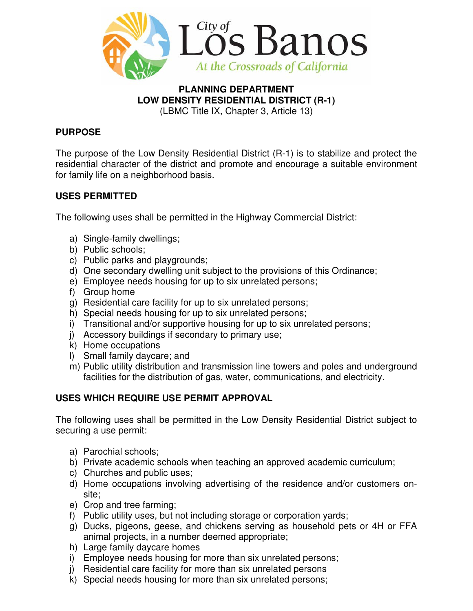

# **PLANNING DEPARTMENT LOW DENSITY RESIDENTIAL DISTRICT (R-1)**

(LBMC Title IX, Chapter 3, Article 13)

# **PURPOSE**

The purpose of the Low Density Residential District (R-1) is to stabilize and protect the residential character of the district and promote and encourage a suitable environment for family life on a neighborhood basis.

# **USES PERMITTED**

The following uses shall be permitted in the Highway Commercial District:

- a) Single-family dwellings;
- b) Public schools;
- c) Public parks and playgrounds;
- d) One secondary dwelling unit subject to the provisions of this Ordinance;
- e) Employee needs housing for up to six unrelated persons;
- f) Group home
- g) Residential care facility for up to six unrelated persons;
- h) Special needs housing for up to six unrelated persons;
- i) Transitional and/or supportive housing for up to six unrelated persons;
- j) Accessory buildings if secondary to primary use;
- k) Home occupations
- l) Small family daycare; and
- m) Public utility distribution and transmission line towers and poles and underground facilities for the distribution of gas, water, communications, and electricity.

# **USES WHICH REQUIRE USE PERMIT APPROVAL**

The following uses shall be permitted in the Low Density Residential District subject to securing a use permit:

- a) Parochial schools;
- b) Private academic schools when teaching an approved academic curriculum;
- c) Churches and public uses;
- d) Home occupations involving advertising of the residence and/or customers onsite;
- e) Crop and tree farming;
- f) Public utility uses, but not including storage or corporation yards;
- g) Ducks, pigeons, geese, and chickens serving as household pets or 4H or FFA animal projects, in a number deemed appropriate;
- h) Large family daycare homes
- i) Employee needs housing for more than six unrelated persons;
- j) Residential care facility for more than six unrelated persons
- k) Special needs housing for more than six unrelated persons;